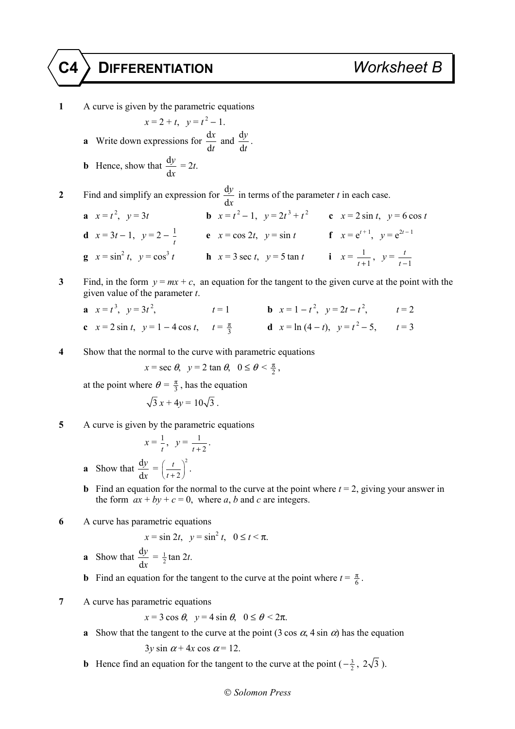## **C4 DIFFERENTIATION** *Worksheet B*

- **1** A curve is given by the parametric equations  $x = 2 + t$ ,  $y = t^2 - 1$ . **a** Write down expressions for  $\frac{d}{dx}$ d *x t* and  $\frac{d}{dx}$ d *y t* . **b** Hence, show that  $\frac{d}{dt}$ d *y x*  $= 2t$ . **2** Find and simplify an expression for  $\frac{d}{dt}$ d *y x* in terms of the parameter *t* in each case. **a**  $x = t^2$ ,  $y = 3t$  **b**  $x = t^2 - 1$ ,  $y = 2t^3 + t^2$  **c**  $x = 2 \sin t$ ,  $y = 6 \cos t$ **d**  $x = 3t - 1$ ,  $y = 2 - \frac{1}{t}$  **e**  $x = \cos 2t$ ,  $y = \sin t$  **f**  $x = e^{t+1}$ ,  $y = e^{2t-1}$ **g**  $x = \sin^2 t$ ,  $y = \cos^3 t$  **h**  $x = 3 \sec t$ ,  $y = 5 \tan t$  **i**  $x = \frac{1}{t}$  $\frac{1}{t+1}$ ,  $y = \frac{t}{t-1}$ *t t* −
- **3** Find, in the form  $y = mx + c$ , an equation for the tangent to the given curve at the point with the given value of the parameter *t*.

| <b>a</b> $x = t^3$ , $y = 3t^2$ ,                           | $t=1$ | <b>b</b> $x = 1 - t^2$ , $y = 2t - t^2$ , $t = 2$ |  |
|-------------------------------------------------------------|-------|---------------------------------------------------|--|
| c $x = 2 \sin t$ , $y = 1 - 4 \cos t$ , $t = \frac{\pi}{3}$ |       | <b>d</b> $x = \ln(4-t)$ , $y = t^2 - 5$ , $t = 3$ |  |

**4** Show that the normal to the curve with parametric equations

$$
x = \sec \theta, \quad y = 2 \tan \theta, \quad 0 \le \theta < \frac{\pi}{2},
$$

at the point where  $\theta = \frac{\pi}{3}$ , has the equation

$$
\sqrt{3} x + 4y = 10\sqrt{3} .
$$

**5** A curve is given by the parametric equations

$$
x = \frac{1}{t}, y = \frac{1}{t+2}.
$$

- **a** Show that  $\frac{d}{dx}$ d *y x*  $=\left(\frac{t}{t+2}\right)^2$ *t*  $\left(\frac{t}{t+2}\right)^2$ .
- **b** Find an equation for the normal to the curve at the point where  $t = 2$ , giving your answer in the form  $ax + by + c = 0$ , where *a*, *b* and *c* are integers.

**6** A curve has parametric equations

$$
x = \sin 2t, \quad y = \sin^2 t, \quad 0 \le t < \pi.
$$

- **a** Show that  $\frac{d}{dx}$ d *y x*  $=\frac{1}{2}$ tan 2*t*.
- **b** Find an equation for the tangent to the curve at the point where  $t = \frac{\pi}{6}$ .
- **7** A curve has parametric equations

$$
x = 3\cos\theta, \ \ y = 4\sin\theta, \ \ 0 \le \theta < 2\pi.
$$

**a** Show that the tangent to the curve at the point  $(3 \cos \alpha, 4 \sin \alpha)$  has the equation

$$
3y\sin\alpha + 4x\cos\alpha = 12.
$$

**b** Hence find an equation for the tangent to the curve at the point  $\left(-\frac{3}{2}, 2\sqrt{3}\right)$ .